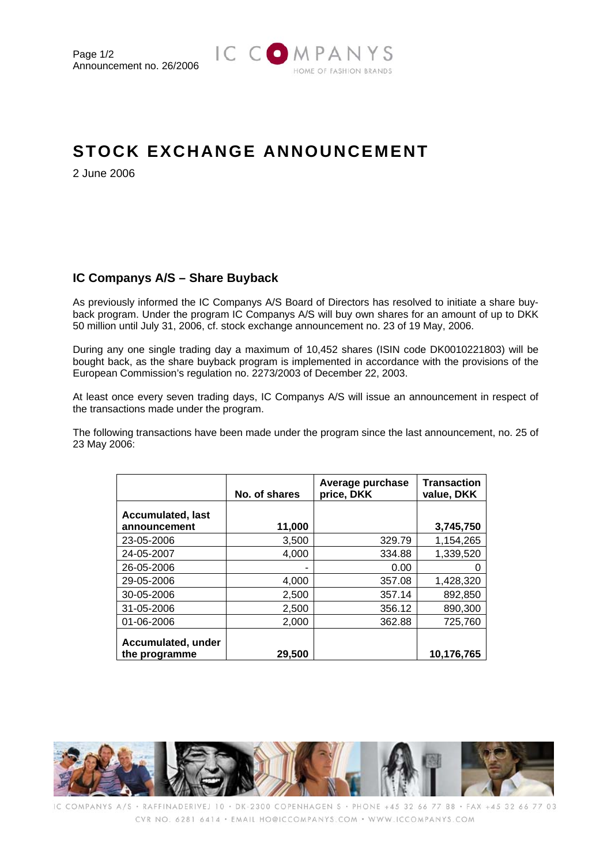

## **STOCK EXCHANGE ANNOUNCEMENT**

2 June 2006

## **IC Companys A/S – Share Buyback**

As previously informed the IC Companys A/S Board of Directors has resolved to initiate a share buyback program. Under the program IC Companys A/S will buy own shares for an amount of up to DKK 50 million until July 31, 2006, cf. stock exchange announcement no. 23 of 19 May, 2006.

During any one single trading day a maximum of 10,452 shares (ISIN code DK0010221803) will be bought back, as the share buyback program is implemented in accordance with the provisions of the European Commission's regulation no. 2273/2003 of December 22, 2003.

At least once every seven trading days, IC Companys A/S will issue an announcement in respect of the transactions made under the program.

The following transactions have been made under the program since the last announcement, no. 25 of 23 May 2006:

|                                          | No. of shares | Average purchase<br>price, DKK | <b>Transaction</b><br>value, DKK |
|------------------------------------------|---------------|--------------------------------|----------------------------------|
| <b>Accumulated, last</b><br>announcement | 11,000        |                                | 3,745,750                        |
| 23-05-2006                               | 3,500         | 329.79                         | 1,154,265                        |
| 24-05-2007                               | 4.000         | 334.88                         | 1,339,520                        |
| 26-05-2006                               |               | 0.00                           |                                  |
| 29-05-2006                               | 4,000         | 357.08                         | 1,428,320                        |
| 30-05-2006                               | 2,500         | 357.14                         | 892,850                          |
| 31-05-2006                               | 2,500         | 356.12                         | 890,300                          |
| 01-06-2006                               | 2,000         | 362.88                         | 725,760                          |
| Accumulated, under<br>the programme      | 29,500        |                                | 10.176.765                       |



IC COMPANYS A/S · RAFFINADERIVEJ 10 · DK-2300 COPENHAGEN S · PHONE +45 32 66 77 88 · FAX +45 32 66 77 03 CVR NO: 6281 6414 · EMAIL HO@ICCOMPANYS.COM · WWW.ICCOMPANYS.COM